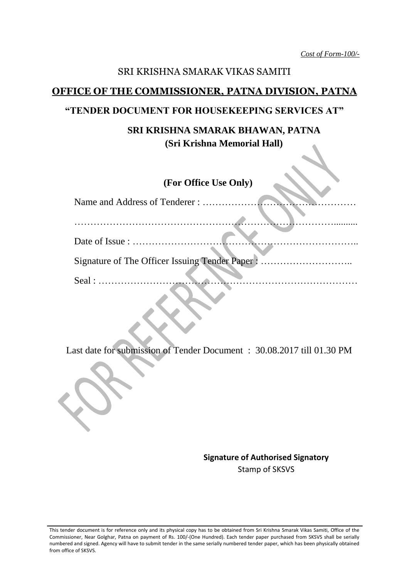*Cost of Form-100/-*

#### SRI KRISHNA SMARAK VIKAS SAMITI

#### **OFFICE OF THE COMMISSIONER, PATNA DIVISION, PATNA**

#### **"TENDER DOCUMENT FOR HOUSEKEEPING SERVICES AT"**

## **SRI KRISHNA SMARAK BHAWAN, PATNA (Sri Krishna Memorial Hall)**

## **(For Office Use Only)**

| Signature of The Officer Issuing Tender Paper:           |
|----------------------------------------------------------|
|                                                          |
| Seal : $\dots \dots \dots \dots \dots \dots \dots \dots$ |
|                                                          |

Last date for submission of Tender Document : 30.08.2017 till 01.30 PM

**Signature of Authorised Signatory** Stamp of SKSVS

This tender document is for reference only and its physical copy has to be obtained from Sri Krishna Smarak Vikas Samiti, Office of the Commissioner, Near Golghar, Patna on payment of Rs. 100/-(One Hundred). Each tender paper purchased from SKSVS shall be serially numbered and signed. Agency will have to submit tender in the same serially numbered tender paper, which has been physically obtained from office of SKSVS.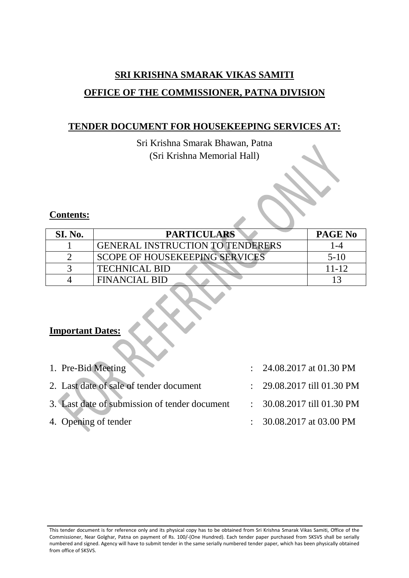# **SRI KRISHNA SMARAK VIKAS SAMITI OFFICE OF THE COMMISSIONER, PATNA DIVISION**

## **TENDER DOCUMENT FOR HOUSEKEEPING SERVICES AT:**

Sri Krishna Smarak Bhawan, Patna (Sri Krishna Memorial Hall)

## **Contents:**

| <b>SI. No.</b> | <b>PARTICULARS</b>                      | <b>PAGE No</b> |
|----------------|-----------------------------------------|----------------|
|                | <b>GENERAL INSTRUCTION TO TENDERERS</b> | -4             |
|                | <b>SCOPE OF HOUSEKEEPING SERVICES</b>   | $5-1()$        |
|                | <b>TECHNICAL BID</b>                    | $11 - 12$      |
|                | FINANCIAL BID                           |                |

## **Important Dates:**

| 1. Pre-Bid Meeting                                                       | : $24.08.2017$ at 01.30 PM            |
|--------------------------------------------------------------------------|---------------------------------------|
| 2. Last date of sale of tender document                                  | $\therefore$ 29.08.2017 till 01.30 PM |
| 3. Last date of submission of tender document : 30.08.2017 till 01.30 PM |                                       |
| 4. Opening of tender                                                     | $\therefore$ 30.08.2017 at 03.00 PM   |

This tender document is for reference only and its physical copy has to be obtained from Sri Krishna Smarak Vikas Samiti, Office of the Commissioner, Near Golghar, Patna on payment of Rs. 100/-(One Hundred). Each tender paper purchased from SKSVS shall be serially numbered and signed. Agency will have to submit tender in the same serially numbered tender paper, which has been physically obtained from office of SKSVS.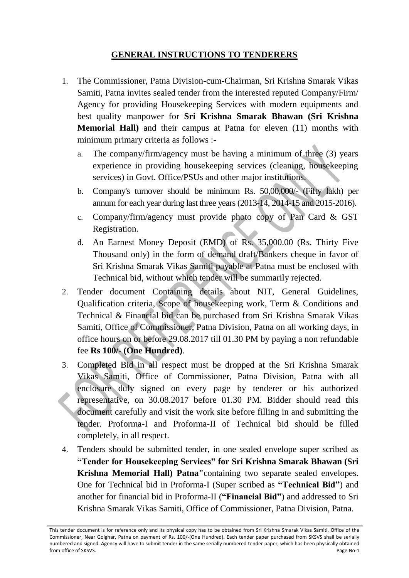### **GENERAL INSTRUCTIONS TO TENDERERS**

- 1. The Commissioner, Patna Division-cum-Chairman, Sri Krishna Smarak Vikas Samiti, Patna invites sealed tender from the interested reputed Company/Firm/ Agency for providing Housekeeping Services with modern equipments and best quality manpower for **Sri Krishna Smarak Bhawan (Sri Krishna Memorial Hall)** and their campus at Patna for eleven (11) months with minimum primary criteria as follows :
	- a. The company/firm/agency must be having a minimum of three (3) years experience in providing housekeeping services (cleaning, housekeeping services) in Govt. Office/PSUs and other major institutions.
	- b. Company's turnover should be minimum Rs. 50,00,000/- (Fifty lakh) per annum for each year during last three years (2013-14, 2014-15 and 2015-2016).
	- c. Company/firm/agency must provide photo copy of Pan Card & GST Registration.
	- d. An Earnest Money Deposit (EMD) of Rs. 35,000.00 (Rs. Thirty Five Thousand only) in the form of demand draft/Bankers cheque in favor of Sri Krishna Smarak Vikas Samiti payable at Patna must be enclosed with Technical bid, without which tender will be summarily rejected.
- 2. Tender document Containing details about NIT, General Guidelines, Qualification criteria, Scope of housekeeping work, Term & Conditions and Technical & Financial bid can be purchased from Sri Krishna Smarak Vikas Samiti, Office of Commissioner, Patna Division, Patna on all working days, in office hours on or before 29.08.2017 till 01.30 PM by paying a non refundable fee **Rs 100/- (One Hundred)**.
- 3. Completed Bid in all respect must be dropped at the Sri Krishna Smarak Vikas Samiti, Office of Commissioner, Patna Division, Patna with all enclosure duly signed on every page by tenderer or his authorized representative, on 30.08.2017 before 01.30 PM. Bidder should read this document carefully and visit the work site before filling in and submitting the tender. Proforma-I and Proforma-II of Technical bid should be filled completely, in all respect.
- 4. Tenders should be submitted tender, in one sealed envelope super scribed as **"Tender for Housekeeping Services" for Sri Krishna Smarak Bhawan (Sri Krishna Memorial Hall) Patna"**containing two separate sealed envelopes. One for Technical bid in Proforma-I (Super scribed as **"Technical Bid"**) and another for financial bid in Proforma-II (**"Financial Bid"**) and addressed to Sri Krishna Smarak Vikas Samiti, Office of Commissioner, Patna Division, Patna.

This tender document is for reference only and its physical copy has to be obtained from Sri Krishna Smarak Vikas Samiti, Office of the Commissioner, Near Golghar, Patna on payment of Rs. 100/-(One Hundred). Each tender paper purchased from SKSVS shall be serially numbered and signed. Agency will have to submit tender in the same serially numbered tender paper, which has been physically obtained from office of SKSVS. Page No-1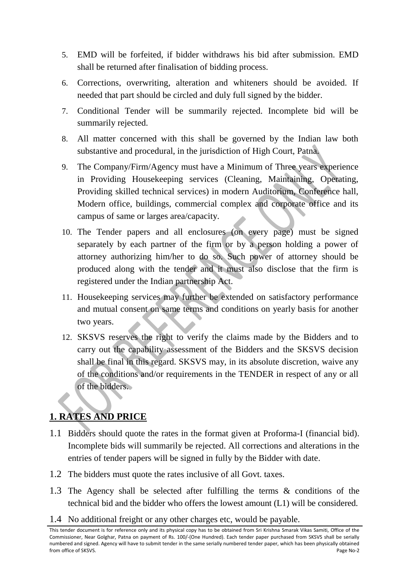- 5. EMD will be forfeited, if bidder withdraws his bid after submission. EMD shall be returned after finalisation of bidding process.
- 6. Corrections, overwriting, alteration and whiteners should be avoided. If needed that part should be circled and duly full signed by the bidder.
- 7. Conditional Tender will be summarily rejected. Incomplete bid will be summarily rejected.
- 8. All matter concerned with this shall be governed by the Indian law both substantive and procedural, in the jurisdiction of High Court, Patna.
- 9. The Company/Firm/Agency must have a Minimum of Three years experience in Providing Housekeeping services (Cleaning, Maintaining, Operating, Providing skilled technical services) in modern Auditorium, Conference hall, Modern office, buildings, commercial complex and corporate office and its campus of same or larges area/capacity.
- 10. The Tender papers and all enclosures (on every page) must be signed separately by each partner of the firm or by a person holding a power of attorney authorizing him/her to do so. Such power of attorney should be produced along with the tender and it must also disclose that the firm is registered under the Indian partnership Act.
- 11. Housekeeping services may further be extended on satisfactory performance and mutual consent on same terms and conditions on yearly basis for another two years.
- 12. SKSVS reserves the right to verify the claims made by the Bidders and to carry out the capability assessment of the Bidders and the SKSVS decision shall be final in this regard. SKSVS may, in its absolute discretion, waive any of the conditions and/or requirements in the TENDER in respect of any or all of the bidders.

## **1. RATES AND PRICE**

- 1.1 Bidders should quote the rates in the format given at Proforma-I (financial bid). Incomplete bids will summarily be rejected. All corrections and alterations in the entries of tender papers will be signed in fully by the Bidder with date.
- 1.2 The bidders must quote the rates inclusive of all Govt. taxes.
- 1.3 The Agency shall be selected after fulfilling the terms & conditions of the technical bid and the bidder who offers the lowest amount (L1) will be considered.
- 1.4 No additional freight or any other charges etc, would be payable.

This tender document is for reference only and its physical copy has to be obtained from Sri Krishna Smarak Vikas Samiti, Office of the Commissioner, Near Golghar, Patna on payment of Rs. 100/-(One Hundred). Each tender paper purchased from SKSVS shall be serially numbered and signed. Agency will have to submit tender in the same serially numbered tender paper, which has been physically obtained from office of SKSVS. Page No-2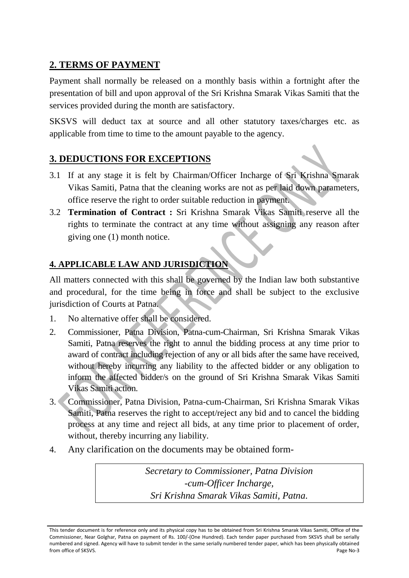## **2. TERMS OF PAYMENT**

Payment shall normally be released on a monthly basis within a fortnight after the presentation of bill and upon approval of the Sri Krishna Smarak Vikas Samiti that the services provided during the month are satisfactory.

SKSVS will deduct tax at source and all other statutory taxes/charges etc. as applicable from time to time to the amount payable to the agency.

## **3. DEDUCTIONS FOR EXCEPTIONS**

- 3.1 If at any stage it is felt by Chairman/Officer Incharge of Sri Krishna Smarak Vikas Samiti, Patna that the cleaning works are not as per laid down parameters, office reserve the right to order suitable reduction in payment.
- 3.2 **Termination of Contract :** Sri Krishna Smarak Vikas Samiti reserve all the rights to terminate the contract at any time without assigning any reason after giving one (1) month notice.

## **4. APPLICABLE LAW AND JURISDICTION**

All matters connected with this shall be governed by the Indian law both substantive and procedural, for the time being in force and shall be subject to the exclusive jurisdiction of Courts at Patna.

- 1. No alternative offer shall be considered.
- 2. Commissioner, Patna Division, Patna-cum-Chairman, Sri Krishna Smarak Vikas Samiti, Patna reserves the right to annul the bidding process at any time prior to award of contract including rejection of any or all bids after the same have received, without hereby incurring any liability to the affected bidder or any obligation to inform the affected bidder/s on the ground of Sri Krishna Smarak Vikas Samiti Vikas Samiti action.
- 3. Commissioner, Patna Division, Patna-cum-Chairman, Sri Krishna Smarak Vikas Samiti, Patna reserves the right to accept/reject any bid and to cancel the bidding process at any time and reject all bids, at any time prior to placement of order, without, thereby incurring any liability.
- 4. Any clarification on the documents may be obtained form-

*Secretary to Commissioner, Patna Division -cum-Officer Incharge, Sri Krishna Smarak Vikas Samiti, Patna.*

This tender document is for reference only and its physical copy has to be obtained from Sri Krishna Smarak Vikas Samiti, Office of the Commissioner, Near Golghar, Patna on payment of Rs. 100/-(One Hundred). Each tender paper purchased from SKSVS shall be serially numbered and signed. Agency will have to submit tender in the same serially numbered tender paper, which has been physically obtained from office of SKSVS. Page No-3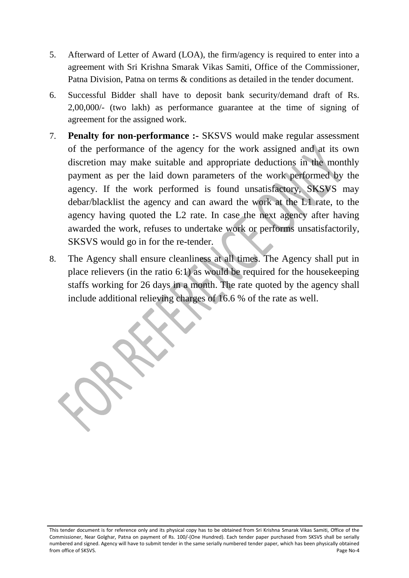- 5. Afterward of Letter of Award (LOA), the firm/agency is required to enter into a agreement with Sri Krishna Smarak Vikas Samiti, Office of the Commissioner, Patna Division, Patna on terms & conditions as detailed in the tender document.
- 6. Successful Bidder shall have to deposit bank security/demand draft of Rs. 2,00,000/- (two lakh) as performance guarantee at the time of signing of agreement for the assigned work.
- 7. **Penalty for non-performance :-** SKSVS would make regular assessment of the performance of the agency for the work assigned and at its own discretion may make suitable and appropriate deductions in the monthly payment as per the laid down parameters of the work performed by the agency. If the work performed is found unsatisfactory, SKSVS may debar/blacklist the agency and can award the work at the L1 rate, to the agency having quoted the L2 rate. In case the next agency after having awarded the work, refuses to undertake work or performs unsatisfactorily, SKSVS would go in for the re-tender.
- 8. The Agency shall ensure cleanliness at all times. The Agency shall put in place relievers (in the ratio 6:1) as would be required for the housekeeping staffs working for 26 days in a month. The rate quoted by the agency shall include additional relieving charges of 16.6 % of the rate as well.

This tender document is for reference only and its physical copy has to be obtained from Sri Krishna Smarak Vikas Samiti, Office of the Commissioner, Near Golghar, Patna on payment of Rs. 100/-(One Hundred). Each tender paper purchased from SKSVS shall be serially numbered and signed. Agency will have to submit tender in the same serially numbered tender paper, which has been physically obtained from office of SKSVS. Page No-4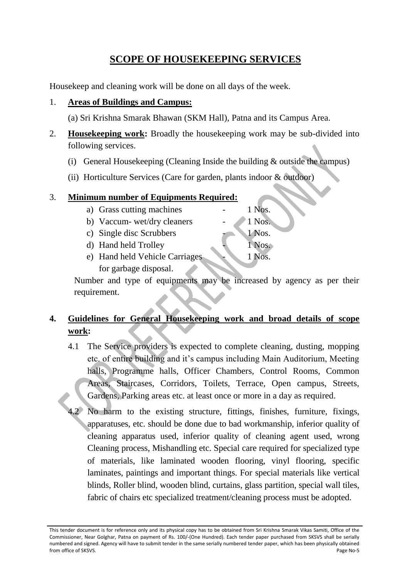## **SCOPE OF HOUSEKEEPING SERVICES**

Housekeep and cleaning work will be done on all days of the week.

### 1. **Areas of Buildings and Campus:**

(a) Sri Krishna Smarak Bhawan (SKM Hall), Patna and its Campus Area.

- 2. **Housekeeping work:** Broadly the housekeeping work may be sub-divided into following services.
	- (i) General Housekeeping (Cleaning Inside the building & outside the campus)
	- (ii) Horticulture Services (Care for garden, plants indoor & outdoor)

### 3. **Minimum number of Equipments Required:**

a) Grass cutting machines  $\qquad \qquad -1$  Nos. b) Vaccum- wet/dry cleaners - 1 Nos. c) Single disc Scrubbers - 1 Nos. d) Hand held Trolley 1 Nos. e) Hand held Vehicle Carriages 1 Nos.

for garbage disposal.

Number and type of equipments may be increased by agency as per their requirement.

## **4. Guidelines for General Housekeeping work and broad details of scope work:**

- 4.1 The Service providers is expected to complete cleaning, dusting, mopping etc. of entire building and it's campus including Main Auditorium, Meeting halls, Programme halls, Officer Chambers, Control Rooms, Common Areas, Staircases, Corridors, Toilets, Terrace, Open campus, Streets, Gardens, Parking areas etc. at least once or more in a day as required.
- No harm to the existing structure, fittings, finishes, furniture, fixings, apparatuses, etc. should be done due to bad workmanship, inferior quality of cleaning apparatus used, inferior quality of cleaning agent used, wrong Cleaning process, Mishandling etc. Special care required for specialized type of materials, like laminated wooden flooring, vinyl flooring, specific laminates, paintings and important things. For special materials like vertical blinds, Roller blind, wooden blind, curtains, glass partition, special wall tiles, fabric of chairs etc specialized treatment/cleaning process must be adopted.

This tender document is for reference only and its physical copy has to be obtained from Sri Krishna Smarak Vikas Samiti, Office of the Commissioner, Near Golghar, Patna on payment of Rs. 100/-(One Hundred). Each tender paper purchased from SKSVS shall be serially numbered and signed. Agency will have to submit tender in the same serially numbered tender paper, which has been physically obtained from office of SKSVS. Page No-5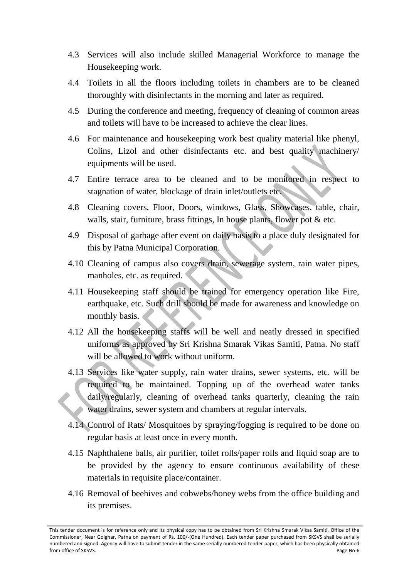- 4.3 Services will also include skilled Managerial Workforce to manage the Housekeeping work.
- 4.4 Toilets in all the floors including toilets in chambers are to be cleaned thoroughly with disinfectants in the morning and later as required.
- 4.5 During the conference and meeting, frequency of cleaning of common areas and toilets will have to be increased to achieve the clear lines.
- 4.6 For maintenance and housekeeping work best quality material like phenyl, Colins, Lizol and other disinfectants etc. and best quality machinery/ equipments will be used.
- 4.7 Entire terrace area to be cleaned and to be monitored in respect to stagnation of water, blockage of drain inlet/outlets etc.
- 4.8 Cleaning covers, Floor, Doors, windows, Glass, Showcases, table, chair, walls, stair, furniture, brass fittings, In house plants, flower pot & etc.
- 4.9 Disposal of garbage after event on daily basis to a place duly designated for this by Patna Municipal Corporation.
- 4.10 Cleaning of campus also covers drain, sewerage system, rain water pipes, manholes, etc. as required.
- 4.11 Housekeeping staff should be trained for emergency operation like Fire, earthquake, etc. Such drill should be made for awareness and knowledge on monthly basis.
- 4.12 All the housekeeping staffs will be well and neatly dressed in specified uniforms as approved by Sri Krishna Smarak Vikas Samiti, Patna. No staff will be allowed to work without uniform.
- 4.13 Services like water supply, rain water drains, sewer systems, etc. will be required to be maintained. Topping up of the overhead water tanks daily/regularly, cleaning of overhead tanks quarterly, cleaning the rain water drains, sewer system and chambers at regular intervals.
- 4.14 Control of Rats/ Mosquitoes by spraying/fogging is required to be done on regular basis at least once in every month.
- 4.15 Naphthalene balls, air purifier, toilet rolls/paper rolls and liquid soap are to be provided by the agency to ensure continuous availability of these materials in requisite place/container.
- 4.16 Removal of beehives and cobwebs/honey webs from the office building and its premises.

This tender document is for reference only and its physical copy has to be obtained from Sri Krishna Smarak Vikas Samiti, Office of the Commissioner, Near Golghar, Patna on payment of Rs. 100/-(One Hundred). Each tender paper purchased from SKSVS shall be serially numbered and signed. Agency will have to submit tender in the same serially numbered tender paper, which has been physically obtained from office of SKSVS. Page No-6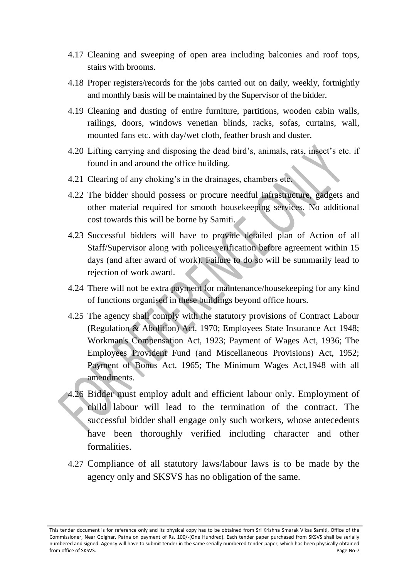- 4.17 Cleaning and sweeping of open area including balconies and roof tops, stairs with brooms.
- 4.18 Proper registers/records for the jobs carried out on daily, weekly, fortnightly and monthly basis will be maintained by the Supervisor of the bidder.
- 4.19 Cleaning and dusting of entire furniture, partitions, wooden cabin walls, railings, doors, windows venetian blinds, racks, sofas, curtains, wall, mounted fans etc. with day/wet cloth, feather brush and duster.
- 4.20 Lifting carrying and disposing the dead bird's, animals, rats, insect's etc. if found in and around the office building.
- 4.21 Clearing of any choking's in the drainages, chambers etc.
- 4.22 The bidder should possess or procure needful infrastructure, gadgets and other material required for smooth housekeeping services. No additional cost towards this will be borne by Samiti.
- 4.23 Successful bidders will have to provide detailed plan of Action of all Staff/Supervisor along with police verification before agreement within 15 days (and after award of work). Failure to do so will be summarily lead to rejection of work award.
- 4.24 There will not be extra payment for maintenance/housekeeping for any kind of functions organised in these buildings beyond office hours.
- 4.25 The agency shall comply with the statutory provisions of Contract Labour (Regulation & Abolition) Act, 1970; Employees State Insurance Act 1948; Workman's Compensation Act, 1923; Payment of Wages Act, 1936; The Employees Provident Fund (and Miscellaneous Provisions) Act, 1952; Payment of Bonus Act, 1965; The Minimum Wages Act,1948 with all amendments.
- 4.26 Bidder must employ adult and efficient labour only. Employment of child labour will lead to the termination of the contract. The successful bidder shall engage only such workers, whose antecedents have been thoroughly verified including character and other formalities.
- 4.27 Compliance of all statutory laws/labour laws is to be made by the agency only and SKSVS has no obligation of the same.

This tender document is for reference only and its physical copy has to be obtained from Sri Krishna Smarak Vikas Samiti, Office of the Commissioner, Near Golghar, Patna on payment of Rs. 100/-(One Hundred). Each tender paper purchased from SKSVS shall be serially numbered and signed. Agency will have to submit tender in the same serially numbered tender paper, which has been physically obtained from office of SKSVS. Page No-7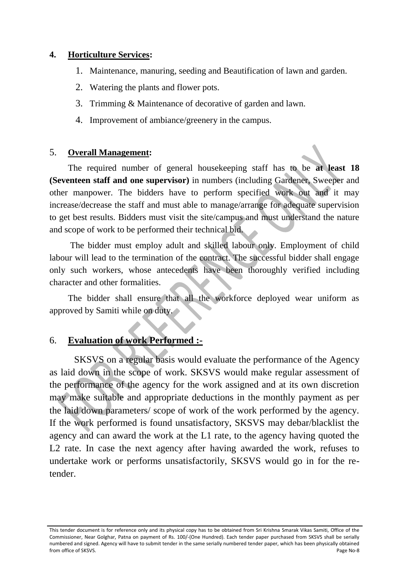#### **4. Horticulture Services:**

- 1. Maintenance, manuring, seeding and Beautification of lawn and garden.
- 2. Watering the plants and flower pots.
- 3. Trimming & Maintenance of decorative of garden and lawn.
- 4. Improvement of ambiance/greenery in the campus.

#### 5. **Overall Management:**

The required number of general housekeeping staff has to be **at least 18 (Seventeen staff and one supervisor)** in numbers (including Gardener, Sweeper and other manpower. The bidders have to perform specified work out and it may increase/decrease the staff and must able to manage/arrange for adequate supervision to get best results. Bidders must visit the site/campus and must understand the nature and scope of work to be performed their technical bid.

The bidder must employ adult and skilled labour only. Employment of child labour will lead to the termination of the contract. The successful bidder shall engage only such workers, whose antecedents have been thoroughly verified including character and other formalities.

The bidder shall ensure that all the workforce deployed wear uniform as approved by Samiti while on duty.

### 6. **Evaluation of work Performed :-**

SKSVS on a regular basis would evaluate the performance of the Agency as laid down in the scope of work. SKSVS would make regular assessment of the performance of the agency for the work assigned and at its own discretion may make suitable and appropriate deductions in the monthly payment as per the laid down parameters/ scope of work of the work performed by the agency. If the work performed is found unsatisfactory, SKSVS may debar/blacklist the agency and can award the work at the L1 rate, to the agency having quoted the L2 rate. In case the next agency after having awarded the work, refuses to undertake work or performs unsatisfactorily, SKSVS would go in for the retender.

This tender document is for reference only and its physical copy has to be obtained from Sri Krishna Smarak Vikas Samiti, Office of the Commissioner, Near Golghar, Patna on payment of Rs. 100/-(One Hundred). Each tender paper purchased from SKSVS shall be serially numbered and signed. Agency will have to submit tender in the same serially numbered tender paper, which has been physically obtained from office of SKSVS. Page No-8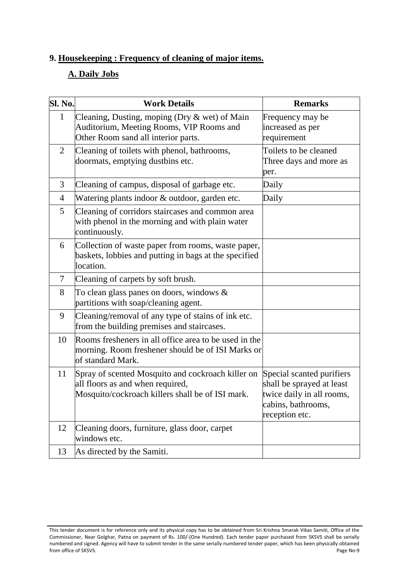## **9. Housekeeping : Frequency of cleaning of major items.**

## **A. Daily Jobs**

| <b>Sl. No.</b> | <b>Work Details</b>                                                                                                                       | <b>Remarks</b>                                                                                                              |
|----------------|-------------------------------------------------------------------------------------------------------------------------------------------|-----------------------------------------------------------------------------------------------------------------------------|
| $\mathbf{1}$   | Cleaning, Dusting, moping (Dry & wet) of Main<br>Auditorium, Meeting Rooms, VIP Rooms and<br>Other Room sand all interior parts.          | Frequency may be<br>increased as per<br>requirement                                                                         |
| $\overline{2}$ | Cleaning of toilets with phenol, bathrooms,<br>doormats, emptying dustbins etc.                                                           | Toilets to be cleaned<br>Three days and more as<br>per.                                                                     |
| 3              | Cleaning of campus, disposal of garbage etc.                                                                                              | Daily                                                                                                                       |
| $\overline{4}$ | Watering plants indoor & outdoor, garden etc.                                                                                             | Daily                                                                                                                       |
| 5              | Cleaning of corridors staircases and common area<br>with phenol in the morning and with plain water<br>continuously.                      |                                                                                                                             |
| 6              | Collection of waste paper from rooms, waste paper,<br>baskets, lobbies and putting in bags at the specified<br>location.                  |                                                                                                                             |
| 7              | Cleaning of carpets by soft brush.                                                                                                        |                                                                                                                             |
| 8              | To clean glass panes on doors, windows $\&$<br>partitions with soap/cleaning agent.                                                       |                                                                                                                             |
| 9              | Cleaning/removal of any type of stains of ink etc.<br>from the building premises and staircases.                                          |                                                                                                                             |
| 10             | Rooms fresheners in all office area to be used in the<br>morning. Room freshener should be of ISI Marks or<br>of standard Mark.           |                                                                                                                             |
| 11             | Spray of scented Mosquito and cockroach killer on<br>all floors as and when required,<br>Mosquito/cockroach killers shall be of ISI mark. | Special scanted purifiers<br>shall be sprayed at least<br>twice daily in all rooms,<br>cabins, bathrooms,<br>reception etc. |
| 12             | Cleaning doors, furniture, glass door, carpet<br>windows etc.                                                                             |                                                                                                                             |
| 13             | As directed by the Samiti.                                                                                                                |                                                                                                                             |

This tender document is for reference only and its physical copy has to be obtained from Sri Krishna Smarak Vikas Samiti, Office of the Commissioner, Near Golghar, Patna on payment of Rs. 100/-(One Hundred). Each tender paper purchased from SKSVS shall be serially numbered and signed. Agency will have to submit tender in the same serially numbered tender paper, which has been physically obtained from office of SKSVS. Page No-9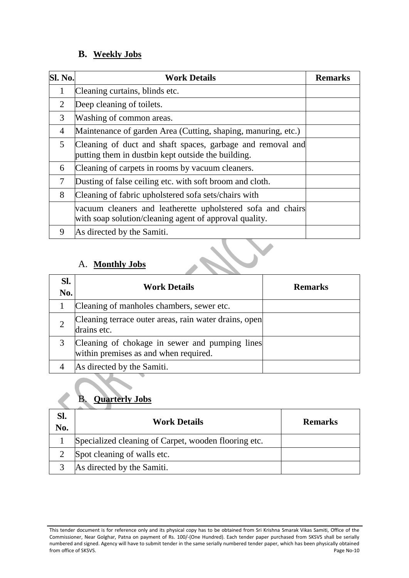## **B. Weekly Jobs**

| Sl. No.        | <b>Work Details</b>                                                                                                   | <b>Remarks</b> |
|----------------|-----------------------------------------------------------------------------------------------------------------------|----------------|
| 1              | Cleaning curtains, blinds etc.                                                                                        |                |
| 2              | Deep cleaning of toilets.                                                                                             |                |
| 3              | Washing of common areas.                                                                                              |                |
| $\overline{4}$ | Maintenance of garden Area (Cutting, shaping, manuring, etc.)                                                         |                |
| 5              | Cleaning of duct and shaft spaces, garbage and removal and<br>putting them in dustbin kept outside the building.      |                |
| 6              | Cleaning of carpets in rooms by vacuum cleaners.                                                                      |                |
| 7              | Dusting of false ceiling etc. with soft broom and cloth.                                                              |                |
| 8              | Cleaning of fabric upholstered sofa sets/chairs with                                                                  |                |
|                | vacuum cleaners and leatherette upholstered sofa and chairs<br>with soap solution/cleaning agent of approval quality. |                |
| 9              | As directed by the Samiti.                                                                                            |                |

## A. **Monthly Jobs**

| SI.<br>No. | <b>Work Details</b>                                                                     | <b>Remarks</b> |
|------------|-----------------------------------------------------------------------------------------|----------------|
|            | Cleaning of manholes chambers, sewer etc.                                               |                |
|            | Cleaning terrace outer areas, rain water drains, open<br>drains etc.                    |                |
|            | Cleaning of chokage in sewer and pumping lines<br>within premises as and when required. |                |
|            | As directed by the Samiti.                                                              |                |

## B. **Quarterly Jobs**

| Sl.<br>No. | <b>Work Details</b>                                  | <b>Remarks</b> |
|------------|------------------------------------------------------|----------------|
|            | Specialized cleaning of Carpet, wooden flooring etc. |                |
|            | Spot cleaning of walls etc.                          |                |
|            | As directed by the Samiti.                           |                |

This tender document is for reference only and its physical copy has to be obtained from Sri Krishna Smarak Vikas Samiti, Office of the Commissioner, Near Golghar, Patna on payment of Rs. 100/-(One Hundred). Each tender paper purchased from SKSVS shall be serially numbered and signed. Agency will have to submit tender in the same serially numbered tender paper, which has been physically obtained from office of SKSVS. Page No-10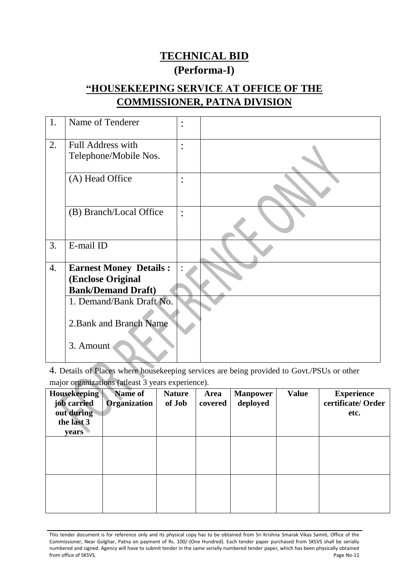# **TECHNICAL BID (Performa-I)**

# **"HOUSEKEEPING SERVICE AT OFFICE OF THE COMMISSIONER, PATNA DIVISION**

| 1. | Name of Tenderer                           | $\bullet$<br>$\bullet$ |  |
|----|--------------------------------------------|------------------------|--|
| 2. | Full Address with<br>Telephone/Mobile Nos. | $\bullet$              |  |
|    | (A) Head Office                            | $\bullet$              |  |
|    | (B) Branch/Local Office                    | $\bullet$              |  |
| 3. | E-mail ID                                  |                        |  |
| 4. | <b>Earnest Money Details:</b>              |                        |  |
|    | (Enclose Original                          |                        |  |
|    | <b>Bank/Demand Draft)</b>                  |                        |  |
|    | 1. Demand/Bank Draft No.                   |                        |  |
|    | 2. Bank and Branch Name                    |                        |  |
|    | 3. Amount                                  |                        |  |

4. Details of Places where housekeeping services are being provided to Govt./PSUs or other major organizations (atleast 3 years experience).

| <b>Housekeeping</b><br>job carried<br>out during<br>the last 3<br>years | Name of<br><b>Organization</b> | <b>Nature</b><br>of Job | Area<br>covered | <b>Manpower</b><br>deployed | <b>Value</b> | <b>Experience</b><br>certificate/ Order<br>etc. |
|-------------------------------------------------------------------------|--------------------------------|-------------------------|-----------------|-----------------------------|--------------|-------------------------------------------------|
|                                                                         |                                |                         |                 |                             |              |                                                 |
|                                                                         |                                |                         |                 |                             |              |                                                 |

This tender document is for reference only and its physical copy has to be obtained from Sri Krishna Smarak Vikas Samiti, Office of the Commissioner, Near Golghar, Patna on payment of Rs. 100/-(One Hundred). Each tender paper purchased from SKSVS shall be serially numbered and signed. Agency will have to submit tender in the same serially numbered tender paper, which has been physically obtained<br>Page No-11 from office of SKSVS.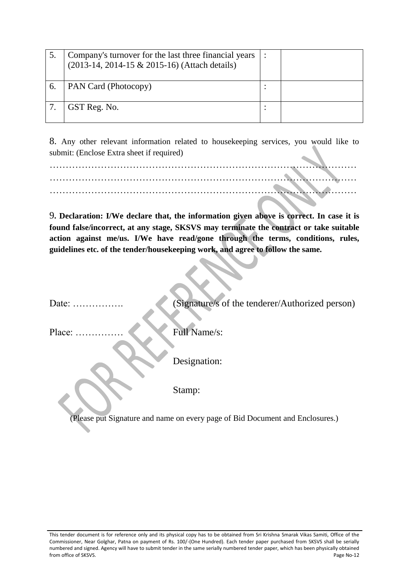|    | Company's turnover for the last three financial years<br>(2013-14, 2014-15 & 2015-16) (Attach details) |  |
|----|--------------------------------------------------------------------------------------------------------|--|
| 6. | PAN Card (Photocopy)                                                                                   |  |
|    | GST Reg. No.                                                                                           |  |

8. Any other relevant information related to housekeeping services, you would like to submit: (Enclose Extra sheet if required)

9**. Declaration: I/We declare that, the information given above is correct. In case it is found false/incorrect, at any stage, SKSVS may terminate the contract or take suitable action against me/us. I/We have read/gone through the terms, conditions, rules, guidelines etc. of the tender/housekeeping work, and agree to follow the same.**

Date: ……………. (Signature/s of the tenderer/Authorized person) Place: …………… Full Name/s: Designation:

Stamp:

(Please put Signature and name on every page of Bid Document and Enclosures.)

This tender document is for reference only and its physical copy has to be obtained from Sri Krishna Smarak Vikas Samiti, Office of the Commissioner, Near Golghar, Patna on payment of Rs. 100/-(One Hundred). Each tender paper purchased from SKSVS shall be serially numbered and signed. Agency will have to submit tender in the same serially numbered tender paper, which has been physically obtained from office of SKSVS. Page No-12